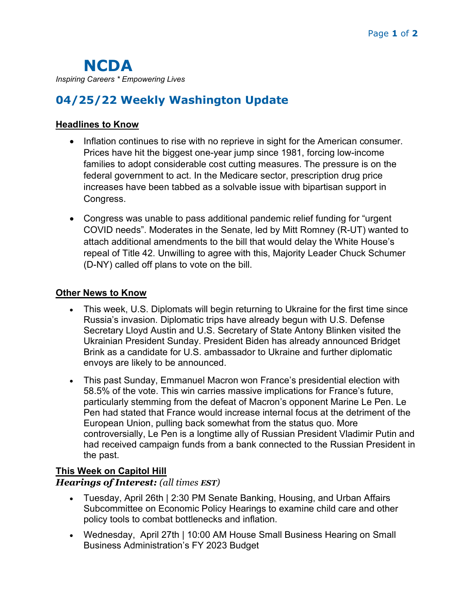NCDA Inspiring Careers \* Empowering Lives

# 04/25/22 Weekly Washington Update

### Headlines to Know

- Inflation continues to rise with no reprieve in sight for the American consumer. Prices have hit the biggest one-year jump since 1981, forcing low-income families to adopt considerable cost cutting measures. The pressure is on the federal government to act. In the Medicare sector, prescription drug price increases have been tabbed as a solvable issue with bipartisan support in Congress.
- Congress was unable to pass additional pandemic relief funding for "urgent COVID needs". Moderates in the Senate, led by Mitt Romney (R-UT) wanted to attach additional amendments to the bill that would delay the White House's repeal of Title 42. Unwilling to agree with this, Majority Leader Chuck Schumer (D-NY) called off plans to vote on the bill.

#### Other News to Know

- This week, U.S. Diplomats will begin returning to Ukraine for the first time since Russia's invasion. Diplomatic trips have already begun with U.S. Defense Secretary Lloyd Austin and U.S. Secretary of State Antony Blinken visited the Ukrainian President Sunday. President Biden has already announced Bridget Brink as a candidate for U.S. ambassador to Ukraine and further diplomatic envoys are likely to be announced.
- This past Sunday, Emmanuel Macron won France's presidential election with 58.5% of the vote. This win carries massive implications for France's future, particularly stemming from the defeat of Macron's opponent Marine Le Pen. Le Pen had stated that France would increase internal focus at the detriment of the European Union, pulling back somewhat from the status quo. More controversially, Le Pen is a longtime ally of Russian President Vladimir Putin and had received campaign funds from a bank connected to the Russian President in the past.

## This Week on Capitol Hill

### Hearings of Interest: (all times EST)

- Tuesday, April 26th | 2:30 PM Senate Banking, Housing, and Urban Affairs Subcommittee on Economic Policy Hearings to examine child care and other policy tools to combat bottlenecks and inflation.
- Wednesday, April 27th | 10:00 AM House Small Business Hearing on Small Business Administration's FY 2023 Budget